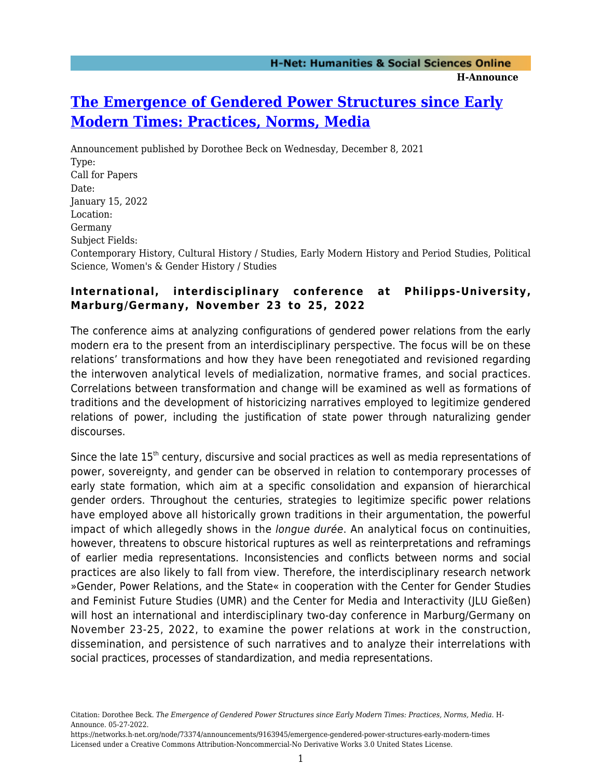## **[The Emergence of Gendered Power Structures since Early](https://networks.h-net.org/node/73374/announcements/9163945/emergence-gendered-power-structures-early-modern-times) [Modern Times: Practices, Norms, Media](https://networks.h-net.org/node/73374/announcements/9163945/emergence-gendered-power-structures-early-modern-times)**

Announcement published by Dorothee Beck on Wednesday, December 8, 2021 Type: Call for Papers Date: January 15, 2022 Location: Germany Subject Fields: Contemporary History, Cultural History / Studies, Early Modern History and Period Studies, Political Science, Women's & Gender History / Studies

## **International, interdisciplinary conference at Philipps-University, Marburg/Germany, November 23 to 25, 2022**

The conference aims at analyzing configurations of gendered power relations from the early modern era to the present from an interdisciplinary perspective. The focus will be on these relations' transformations and how they have been renegotiated and revisioned regarding the interwoven analytical levels of medialization, normative frames, and social practices. Correlations between transformation and change will be examined as well as formations of traditions and the development of historicizing narratives employed to legitimize gendered relations of power, including the justification of state power through naturalizing gender discourses.

Since the late  $15<sup>th</sup>$  century, discursive and social practices as well as media representations of power, sovereignty, and gender can be observed in relation to contemporary processes of early state formation, which aim at a specific consolidation and expansion of hierarchical gender orders. Throughout the centuries, strategies to legitimize specific power relations have employed above all historically grown traditions in their argumentation, the powerful impact of which allegedly shows in the longue durée. An analytical focus on continuities, however, threatens to obscure historical ruptures as well as reinterpretations and reframings of earlier media representations. Inconsistencies and conflicts between norms and social practices are also likely to fall from view. Therefore, the interdisciplinary research network »Gender, Power Relations, and the State« in cooperation with the Center for Gender Studies and Feminist Future Studies (UMR) and the Center for Media and Interactivity (JLU Gießen) will host an international and interdisciplinary two-day conference in Marburg/Germany on November 23-25, 2022, to examine the power relations at work in the construction, dissemination, and persistence of such narratives and to analyze their interrelations with social practices, processes of standardization, and media representations.

Citation: Dorothee Beck. *The Emergence of Gendered Power Structures since Early Modern Times: Practices, Norms, Media*. H-Announce. 05-27-2022.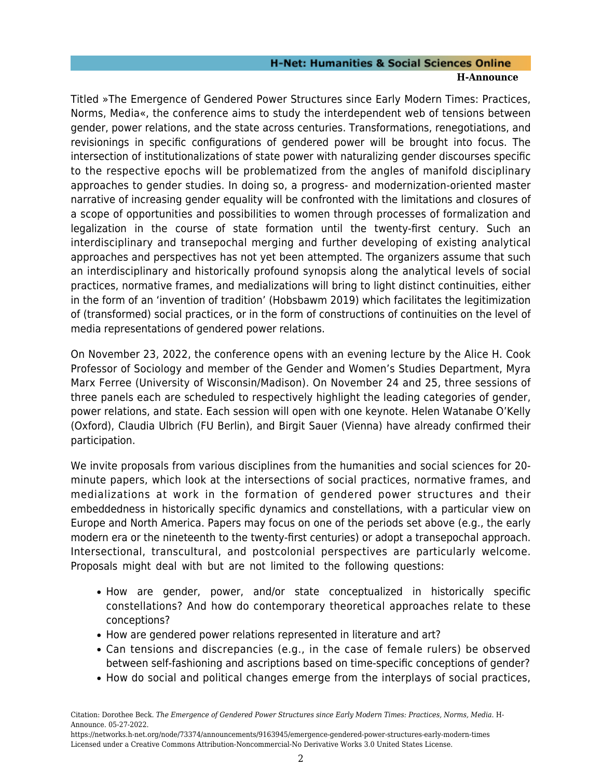## **H-Net: Humanities & Social Sciences Online H-Announce**

Titled »The Emergence of Gendered Power Structures since Early Modern Times: Practices, Norms, Media«, the conference aims to study the interdependent web of tensions between gender, power relations, and the state across centuries. Transformations, renegotiations, and revisionings in specific configurations of gendered power will be brought into focus. The intersection of institutionalizations of state power with naturalizing gender discourses specific to the respective epochs will be problematized from the angles of manifold disciplinary approaches to gender studies. In doing so, a progress- and modernization-oriented master narrative of increasing gender equality will be confronted with the limitations and closures of a scope of opportunities and possibilities to women through processes of formalization and legalization in the course of state formation until the twenty-first century. Such an interdisciplinary and transepochal merging and further developing of existing analytical approaches and perspectives has not yet been attempted. The organizers assume that such an interdisciplinary and historically profound synopsis along the analytical levels of social practices, normative frames, and medializations will bring to light distinct continuities, either in the form of an 'invention of tradition' (Hobsbawm 2019) which facilitates the legitimization of (transformed) social practices, or in the form of constructions of continuities on the level of media representations of gendered power relations.

On November 23, 2022, the conference opens with an evening lecture by the Alice H. Cook Professor of Sociology and member of the Gender and Women's Studies Department, Myra Marx Ferree (University of Wisconsin/Madison). On November 24 and 25, three sessions of three panels each are scheduled to respectively highlight the leading categories of gender, power relations, and state. Each session will open with one keynote. Helen Watanabe O'Kelly (Oxford), Claudia Ulbrich (FU Berlin), and Birgit Sauer (Vienna) have already confirmed their participation.

We invite proposals from various disciplines from the humanities and social sciences for 20 minute papers, which look at the intersections of social practices, normative frames, and medializations at work in the formation of gendered power structures and their embeddedness in historically specific dynamics and constellations, with a particular view on Europe and North America. Papers may focus on one of the periods set above (e.g., the early modern era or the nineteenth to the twenty-first centuries) or adopt a transepochal approach. Intersectional, transcultural, and postcolonial perspectives are particularly welcome. Proposals might deal with but are not limited to the following questions:

- How are gender, power, and/or state conceptualized in historically specific constellations? And how do contemporary theoretical approaches relate to these conceptions?
- How are gendered power relations represented in literature and art?
- Can tensions and discrepancies (e.g., in the case of female rulers) be observed between self-fashioning and ascriptions based on time-specific conceptions of gender?
- How do social and political changes emerge from the interplays of social practices,